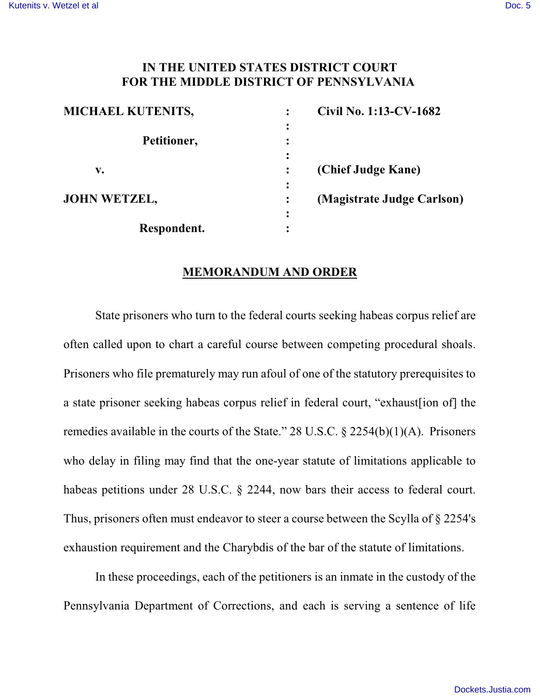## **IN THE UNITED STATES DISTRICT COURT FOR THE MIDDLE DISTRICT OF PENNSYLVANIA**

| <b>MICHAEL KUTENITS,</b> |   | Civil No. 1:13-CV-1682     |
|--------------------------|---|----------------------------|
|                          |   |                            |
| Petitioner,              |   |                            |
|                          |   |                            |
| v.                       |   | (Chief Judge Kane)         |
|                          |   |                            |
| <b>JOHN WETZEL,</b>      |   | (Magistrate Judge Carlson) |
|                          | ٠ |                            |
| Respondent.              |   |                            |

## **MEMORANDUM AND ORDER**

State prisoners who turn to the federal courts seeking habeas corpus relief are often called upon to chart a careful course between competing procedural shoals. Prisoners who file prematurely may run afoul of one of the statutory prerequisites to a state prisoner seeking habeas corpus relief in federal court, "exhaust[ion of] the remedies available in the courts of the State." 28 U.S.C. § 2254(b)(1)(A). Prisoners who delay in filing may find that the one-year statute of limitations applicable to habeas petitions under 28 U.S.C. § 2244, now bars their access to federal court. Thus, prisoners often must endeavor to steer a course between the Scylla of § 2254's exhaustion requirement and the Charybdis of the bar of the statute of limitations.

In these proceedings, each of the petitioners is an inmate in the custody of the Pennsylvania Department of Corrections, and each is serving a sentence of life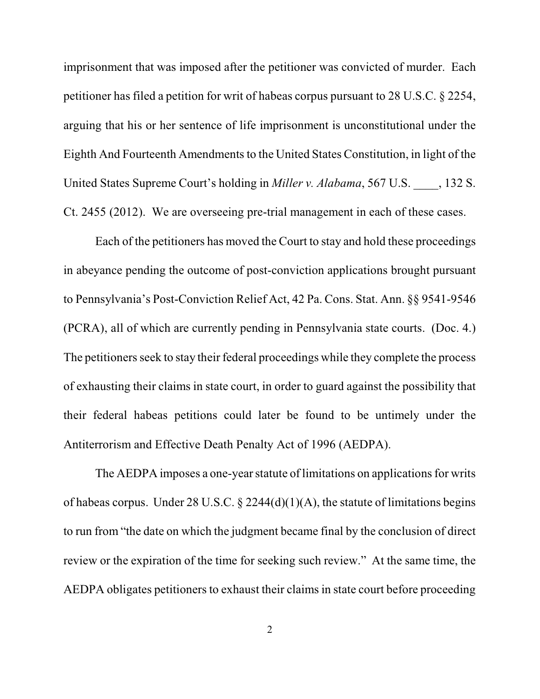imprisonment that was imposed after the petitioner was convicted of murder. Each petitioner has filed a petition for writ of habeas corpus pursuant to 28 U.S.C. § 2254, arguing that his or her sentence of life imprisonment is unconstitutional under the Eighth And Fourteenth Amendments to the United States Constitution, in light of the United States Supreme Court's holding in *Miller v. Alabama*, 567 U.S. \_\_\_\_, 132 S. Ct. 2455 (2012). We are overseeing pre-trial management in each of these cases.

Each of the petitioners has moved the Court to stay and hold these proceedings in abeyance pending the outcome of post-conviction applications brought pursuant to Pennsylvania's Post-Conviction Relief Act, 42 Pa. Cons. Stat. Ann. §§ 9541-9546 (PCRA), all of which are currently pending in Pennsylvania state courts. (Doc. 4.) The petitioners seek to stay their federal proceedings while they complete the process of exhausting their claims in state court, in order to guard against the possibility that their federal habeas petitions could later be found to be untimely under the Antiterrorism and Effective Death Penalty Act of 1996 (AEDPA).

The AEDPA imposes a one-year statute of limitations on applications for writs of habeas corpus. Under 28 U.S.C.  $\S$  2244(d)(1)(A), the statute of limitations begins to run from "the date on which the judgment became final by the conclusion of direct review or the expiration of the time for seeking such review." At the same time, the AEDPA obligates petitioners to exhaust their claims in state court before proceeding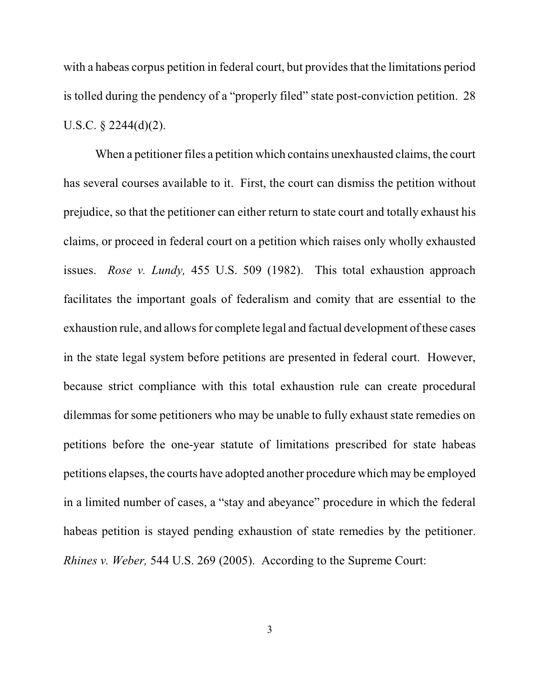with a habeas corpus petition in federal court, but provides that the limitations period is tolled during the pendency of a "properly filed" state post-conviction petition. 28 U.S.C. § 2244(d)(2).

When a petitioner files a petition which contains unexhausted claims, the court has several courses available to it. First, the court can dismiss the petition without prejudice, so that the petitioner can either return to state court and totally exhaust his claims, or proceed in federal court on a petition which raises only wholly exhausted issues. *Rose v. Lundy,* 455 U.S. 509 (1982). This total exhaustion approach facilitates the important goals of federalism and comity that are essential to the exhaustion rule, and allows for complete legal and factual development of these cases in the state legal system before petitions are presented in federal court. However, because strict compliance with this total exhaustion rule can create procedural dilemmas for some petitioners who may be unable to fully exhaust state remedies on petitions before the one-year statute of limitations prescribed for state habeas petitions elapses, the courts have adopted another procedure which may be employed in a limited number of cases, a "stay and abeyance" procedure in which the federal habeas petition is stayed pending exhaustion of state remedies by the petitioner. *Rhines v. Weber,* 544 U.S. 269 (2005). According to the Supreme Court: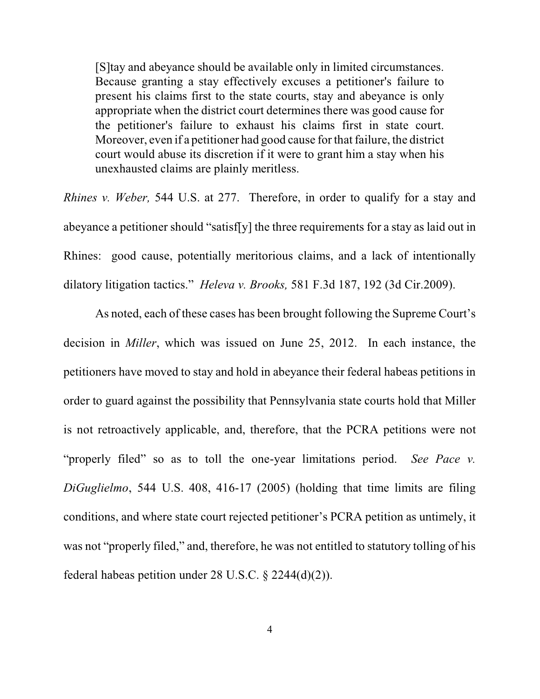[S]tay and abeyance should be available only in limited circumstances. Because granting a stay effectively excuses a petitioner's failure to present his claims first to the state courts, stay and abeyance is only appropriate when the district court determines there was good cause for the petitioner's failure to exhaust his claims first in state court. Moreover, even if a petitioner had good cause for that failure, the district court would abuse its discretion if it were to grant him a stay when his unexhausted claims are plainly meritless.

*Rhines v. Weber,* 544 U.S. at 277. Therefore, in order to qualify for a stay and abeyance a petitioner should "satisf[y] the three requirements for a stay as laid out in Rhines: good cause, potentially meritorious claims, and a lack of intentionally dilatory litigation tactics." *Heleva v. Brooks,* 581 F.3d 187, 192 (3d Cir.2009).

As noted, each of these cases has been brought following the Supreme Court's decision in *Miller*, which was issued on June 25, 2012. In each instance, the petitioners have moved to stay and hold in abeyance their federal habeas petitions in order to guard against the possibility that Pennsylvania state courts hold that Miller is not retroactively applicable, and, therefore, that the PCRA petitions were not "properly filed" so as to toll the one-year limitations period. *See Pace v. DiGuglielmo*, 544 U.S. 408, 416-17 (2005) (holding that time limits are filing conditions, and where state court rejected petitioner's PCRA petition as untimely, it was not "properly filed," and, therefore, he was not entitled to statutory tolling of his federal habeas petition under 28 U.S.C. § 2244(d)(2)).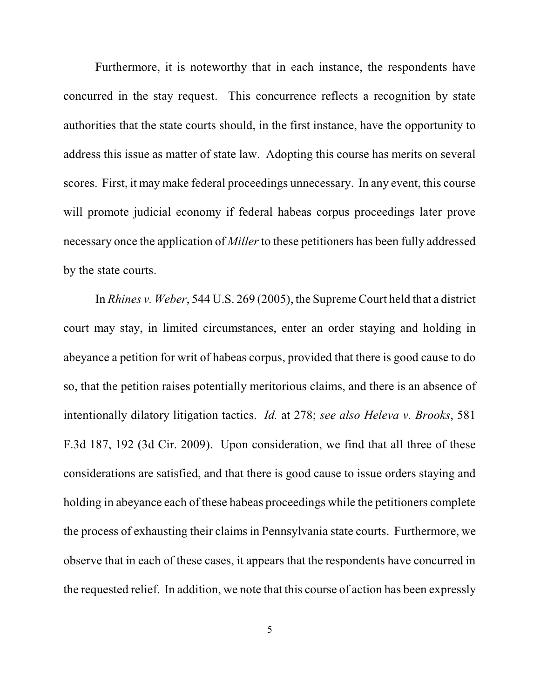Furthermore, it is noteworthy that in each instance, the respondents have concurred in the stay request. This concurrence reflects a recognition by state authorities that the state courts should, in the first instance, have the opportunity to address this issue as matter of state law. Adopting this course has merits on several scores. First, it may make federal proceedings unnecessary. In any event, this course will promote judicial economy if federal habeas corpus proceedings later prove necessary once the application of *Miller* to these petitioners has been fully addressed by the state courts.

In *Rhines v. Weber*, 544 U.S. 269 (2005), the Supreme Court held that a district court may stay, in limited circumstances, enter an order staying and holding in abeyance a petition for writ of habeas corpus, provided that there is good cause to do so, that the petition raises potentially meritorious claims, and there is an absence of intentionally dilatory litigation tactics. *Id.* at 278; *see also Heleva v. Brooks*, 581 F.3d 187, 192 (3d Cir. 2009). Upon consideration, we find that all three of these considerations are satisfied, and that there is good cause to issue orders staying and holding in abeyance each of these habeas proceedings while the petitioners complete the process of exhausting their claims in Pennsylvania state courts. Furthermore, we observe that in each of these cases, it appears that the respondents have concurred in the requested relief. In addition, we note that this course of action has been expressly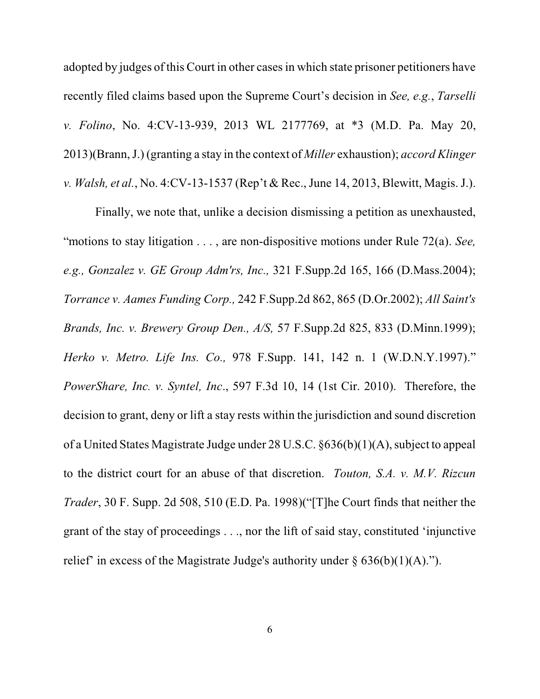adopted by judges of this Court in other cases in which state prisoner petitioners have recently filed claims based upon the Supreme Court's decision in *See, e.g.*, *Tarselli v. Folino*, No. 4:CV-13-939, 2013 WL 2177769, at \*3 (M.D. Pa. May 20, 2013)(Brann, J.) (granting a stay in the context of *Miller* exhaustion); *accord Klinger v. Walsh, et al.*, No. 4:CV-13-1537 (Rep't & Rec., June 14, 2013, Blewitt, Magis. J.).

Finally, we note that, unlike a decision dismissing a petition as unexhausted, "motions to stay litigation . . . , are non-dispositive motions under Rule 72(a). *See, e.g., Gonzalez v. GE Group Adm'rs, Inc.,* 321 F.Supp.2d 165, 166 (D.Mass.2004); *Torrance v. Aames Funding Corp.,* 242 F.Supp.2d 862, 865 (D.Or.2002); *All Saint's Brands, Inc. v. Brewery Group Den., A/S,* 57 F.Supp.2d 825, 833 (D.Minn.1999); *Herko v. Metro. Life Ins. Co.,* 978 F.Supp. 141, 142 n. 1 (W.D.N.Y.1997)." *PowerShare, Inc. v. Syntel, Inc*., 597 F.3d 10, 14 (1st Cir. 2010). Therefore, the decision to grant, deny or lift a stay rests within the jurisdiction and sound discretion of a United States Magistrate Judge under 28 U.S.C. §636(b)(1)(A), subject to appeal to the district court for an abuse of that discretion. *Touton, S.A. v. M.V. Rizcun Trader*, 30 F. Supp. 2d 508, 510 (E.D. Pa. 1998)("[T]he Court finds that neither the grant of the stay of proceedings . . ., nor the lift of said stay, constituted 'injunctive relief' in excess of the Magistrate Judge's authority under  $\S$  636(b)(1)(A).").